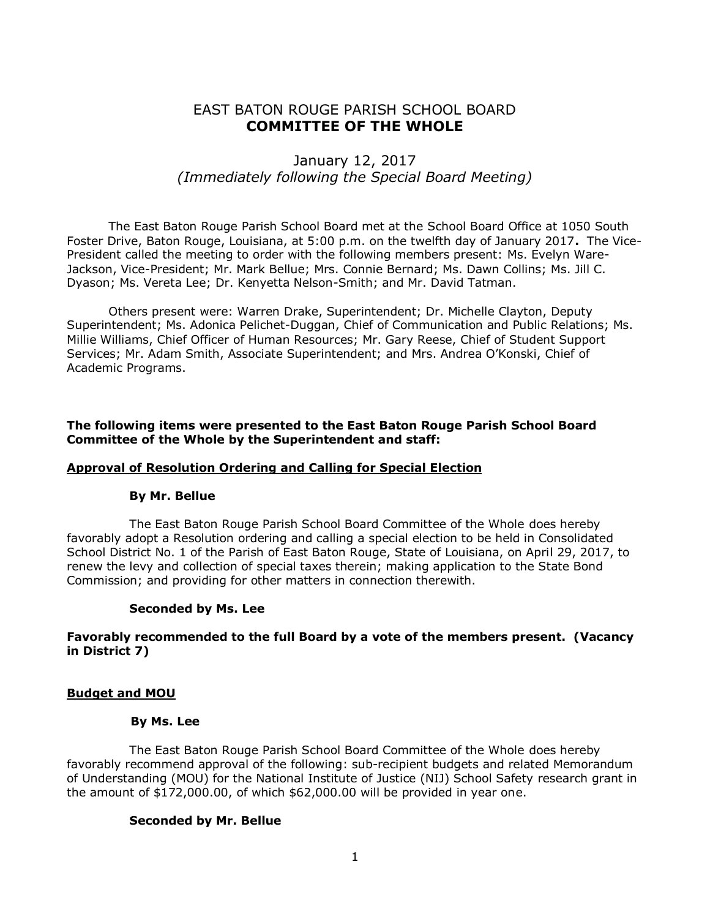# EAST BATON ROUGE PARISH SCHOOL BOARD **COMMITTEE OF THE WHOLE**

# January 12, 2017 *(Immediately following the Special Board Meeting)*

The East Baton Rouge Parish School Board met at the School Board Office at 1050 South Foster Drive, Baton Rouge, Louisiana, at 5:00 p.m. on the twelfth day of January 2017**.** The Vice-President called the meeting to order with the following members present: Ms. Evelyn Ware-Jackson, Vice-President; Mr. Mark Bellue; Mrs. Connie Bernard; Ms. Dawn Collins; Ms. Jill C. Dyason; Ms. Vereta Lee; Dr. Kenyetta Nelson-Smith; and Mr. David Tatman.

Others present were: Warren Drake, Superintendent; Dr. Michelle Clayton, Deputy Superintendent; Ms. Adonica Pelichet-Duggan, Chief of Communication and Public Relations; Ms. Millie Williams, Chief Officer of Human Resources; Mr. Gary Reese, Chief of Student Support Services; Mr. Adam Smith, Associate Superintendent; and Mrs. Andrea O'Konski, Chief of Academic Programs.

**The following items were presented to the East Baton Rouge Parish School Board Committee of the Whole by the Superintendent and staff:**

#### **Approval of Resolution Ordering and Calling for Special Election**

#### **By Mr. Bellue**

The East Baton Rouge Parish School Board Committee of the Whole does hereby favorably adopt a Resolution ordering and calling a special election to be held in Consolidated School District No. 1 of the Parish of East Baton Rouge, State of Louisiana, on April 29, 2017, to renew the levy and collection of special taxes therein; making application to the State Bond Commission; and providing for other matters in connection therewith.

#### **Seconded by Ms. Lee**

#### **Favorably recommended to the full Board by a vote of the members present. (Vacancy in District 7)**

#### **Budget and MOU**

#### **By Ms. Lee**

The East Baton Rouge Parish School Board Committee of the Whole does hereby favorably recommend approval of the following: sub-recipient budgets and related Memorandum of Understanding (MOU) for the National Institute of Justice (NIJ) School Safety research grant in the amount of \$172,000.00, of which \$62,000.00 will be provided in year one.

#### **Seconded by Mr. Bellue**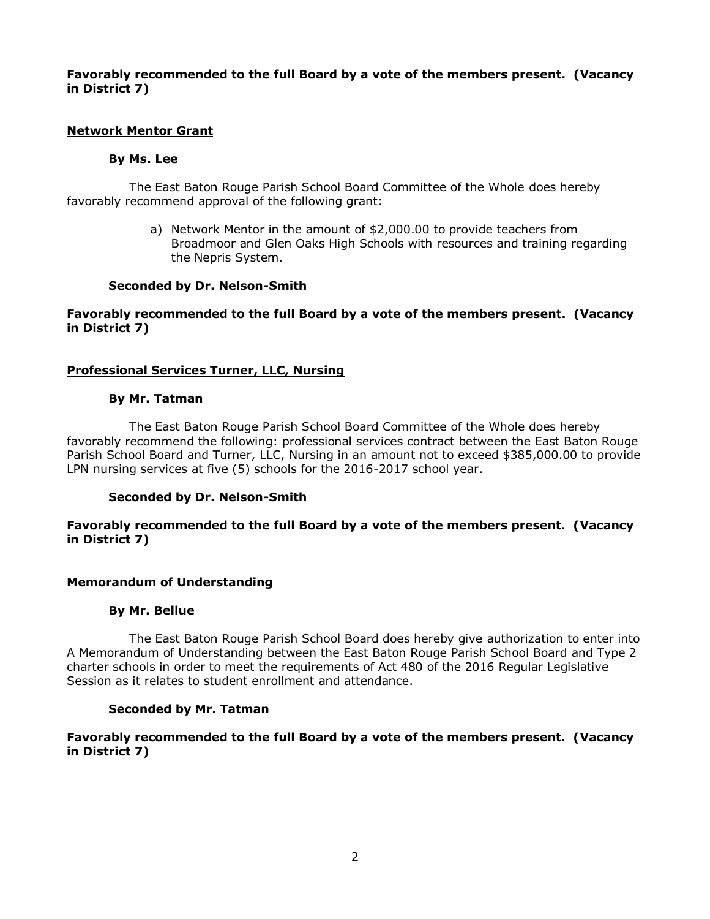## **Favorably recommended to the full Board by a vote of the members present. (Vacancy in District 7)**

## **Network Mentor Grant**

# **By Ms. Lee**

The East Baton Rouge Parish School Board Committee of the Whole does hereby favorably recommend approval of the following grant:

> a) Network Mentor in the amount of \$2,000.00 to provide teachers from Broadmoor and Glen Oaks High Schools with resources and training regarding the Nepris System.

## **Seconded by Dr. Nelson-Smith**

## **Favorably recommended to the full Board by a vote of the members present. (Vacancy in District 7)**

# **Professional Services Turner, LLC, Nursing**

## **By Mr. Tatman**

The East Baton Rouge Parish School Board Committee of the Whole does hereby favorably recommend the following: professional services contract between the East Baton Rouge Parish School Board and Turner, LLC, Nursing in an amount not to exceed \$385,000.00 to provide LPN nursing services at five (5) schools for the 2016-2017 school year.

## **Seconded by Dr. Nelson-Smith**

#### **Favorably recommended to the full Board by a vote of the members present. (Vacancy in District 7)**

## **Memorandum of Understanding**

## **By Mr. Bellue**

The East Baton Rouge Parish School Board does hereby give authorization to enter into A Memorandum of Understanding between the East Baton Rouge Parish School Board and Type 2 charter schools in order to meet the requirements of Act 480 of the 2016 Regular Legislative Session as it relates to student enrollment and attendance.

## **Seconded by Mr. Tatman**

**Favorably recommended to the full Board by a vote of the members present. (Vacancy in District 7)**